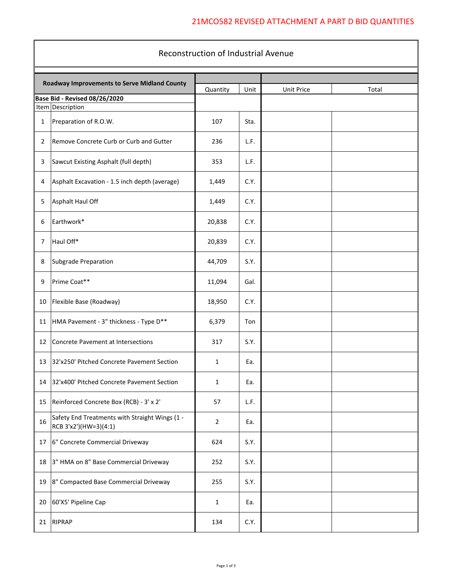## 21MCO582 REVISED ATTACHMENT A PART D BID QUANTITIES

| Reconstruction of Industrial Avenue |                                                                         |                |      |            |       |  |  |  |
|-------------------------------------|-------------------------------------------------------------------------|----------------|------|------------|-------|--|--|--|
|                                     | Roadway Improvements to Serve Midland County                            |                |      |            |       |  |  |  |
|                                     |                                                                         | Quantity       | Unit | Unit Price | Total |  |  |  |
|                                     | Base Bid - Revised 08/26/2020<br>Item Description                       |                |      |            |       |  |  |  |
| $\mathbf{1}$                        | Preparation of R.O.W.                                                   | 107            | Sta. |            |       |  |  |  |
| 2                                   | Remove Concrete Curb or Curb and Gutter                                 | 236            | L.F. |            |       |  |  |  |
| 3                                   | Sawcut Existing Asphalt (full depth)                                    | 353            | L.F. |            |       |  |  |  |
| 4                                   | Asphalt Excavation - 1.5 inch depth (average)                           | 1,449          | C.Y. |            |       |  |  |  |
| 5                                   | Asphalt Haul Off                                                        | 1,449          | C.Y. |            |       |  |  |  |
| 6                                   | Earthwork*                                                              | 20,838         | C.Y. |            |       |  |  |  |
| 7                                   | Haul Off*                                                               | 20,839         | C.Y. |            |       |  |  |  |
| 8                                   | Subgrade Preparation                                                    | 44,709         | S.Y. |            |       |  |  |  |
| 9                                   | Prime Coat**                                                            | 11,094         | Gal. |            |       |  |  |  |
| 10                                  | Flexible Base (Roadway)                                                 | 18,950         | C.Y. |            |       |  |  |  |
| 11                                  | HMA Pavement - 3" thickness - Type D**                                  | 6,379          | Ton  |            |       |  |  |  |
| 12                                  | Concrete Pavement at Intersections                                      | 317            | S.Y. |            |       |  |  |  |
| 13                                  | 32'x250' Pitched Concrete Pavement Section                              | $\mathbf{1}$   | Ea.  |            |       |  |  |  |
| 14                                  | 32'x400' Pitched Concrete Pavement Section                              | 1              | Ea.  |            |       |  |  |  |
| 15                                  | Reinforced Concrete Box (RCB) - 3' x 2'                                 | 57             | L.F. |            |       |  |  |  |
| 16                                  | Safety End Treatments with Straight Wings (1 -<br>RCB 3'x2')(HW=3)(4:1) | $\overline{2}$ | Ea.  |            |       |  |  |  |
| 17                                  | 6" Concrete Commercial Driveway                                         | 624            | S.Y. |            |       |  |  |  |
| 18                                  | 3" HMA on 8" Base Commercial Driveway                                   | 252            | S.Y. |            |       |  |  |  |
| 19                                  | 8" Compacted Base Commercial Driveway                                   | 255            | S.Y. |            |       |  |  |  |
| 20                                  | 60'X5' Pipeline Cap                                                     | $\mathbf{1}$   | Ea.  |            |       |  |  |  |
|                                     | 21 RIPRAP                                                               | 134            | C.Y. |            |       |  |  |  |

Г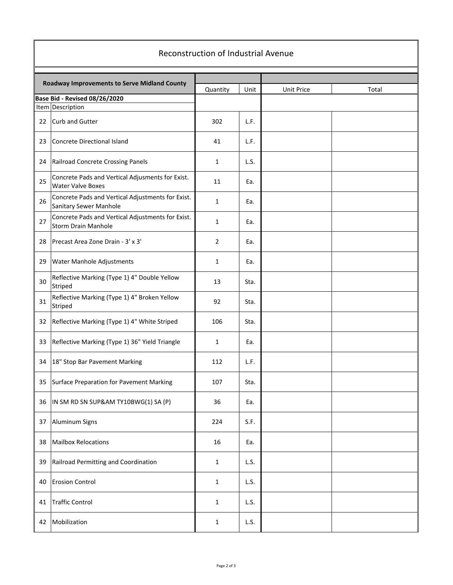| Reconstruction of Industrial Avenue |                                                                                 |              |      |            |       |  |  |  |
|-------------------------------------|---------------------------------------------------------------------------------|--------------|------|------------|-------|--|--|--|
|                                     |                                                                                 |              |      |            |       |  |  |  |
|                                     | Roadway Improvements to Serve Midland County                                    | Quantity     | Unit | Unit Price | Total |  |  |  |
|                                     | Base Bid - Revised 08/26/2020<br>Item Description                               |              |      |            |       |  |  |  |
|                                     |                                                                                 |              |      |            |       |  |  |  |
| 22                                  | Curb and Gutter                                                                 | 302          | L.F. |            |       |  |  |  |
| 23                                  | Concrete Directional Island                                                     | 41           | L.F. |            |       |  |  |  |
| 24                                  | Railroad Concrete Crossing Panels                                               | 1            | L.S. |            |       |  |  |  |
| 25                                  | Concrete Pads and Vertical Adjusments for Exist.<br><b>Water Valve Boxes</b>    | 11           | Ea.  |            |       |  |  |  |
| 26                                  | Concrete Pads and Vertical Adjustments for Exist.<br>Sanitary Sewer Manhole     | 1            | Ea.  |            |       |  |  |  |
| 27                                  | Concrete Pads and Vertical Adjustments for Exist.<br><b>Storm Drain Manhole</b> | $\mathbf{1}$ | Ea.  |            |       |  |  |  |
| 28                                  | Precast Area Zone Drain - 3' x 3'                                               | 2            | Ea.  |            |       |  |  |  |
| 29                                  | Water Manhole Adjustments                                                       | 1            | Ea.  |            |       |  |  |  |
| 30                                  | Reflective Marking (Type 1) 4" Double Yellow<br>Striped                         | 13           | Sta. |            |       |  |  |  |
| 31                                  | Reflective Marking (Type 1) 4" Broken Yellow<br>Striped                         | 92           | Sta. |            |       |  |  |  |
| 32                                  | Reflective Marking (Type 1) 4" White Striped                                    | 106          | Sta. |            |       |  |  |  |
| 33                                  | Reflective Marking (Type 1) 36" Yield Triangle                                  | 1            | Ea.  |            |       |  |  |  |
| 34                                  | 18" Stop Bar Pavement Marking                                                   | 112          | L.F. |            |       |  |  |  |
| 35                                  | Surface Preparation for Pavement Marking                                        | 107          | Sta. |            |       |  |  |  |
| 36                                  | IN SM RD SN SUP&AM TY10BWG(1) SA (P)                                            | 36           | Ea.  |            |       |  |  |  |
| 37                                  | Aluminum Signs                                                                  | 224          | S.F. |            |       |  |  |  |
| 38                                  | <b>Mailbox Relocations</b>                                                      | 16           | Ea.  |            |       |  |  |  |
| 39                                  | Railroad Permitting and Coordination                                            | $\mathbf{1}$ | L.S. |            |       |  |  |  |
| 40                                  | <b>Erosion Control</b>                                                          | 1            | L.S. |            |       |  |  |  |
| 41                                  | <b>Traffic Control</b>                                                          | $\mathbf{1}$ | L.S. |            |       |  |  |  |
| 42                                  | Mobilization                                                                    | 1            | L.S. |            |       |  |  |  |

٦

 $\mathbf{I}$